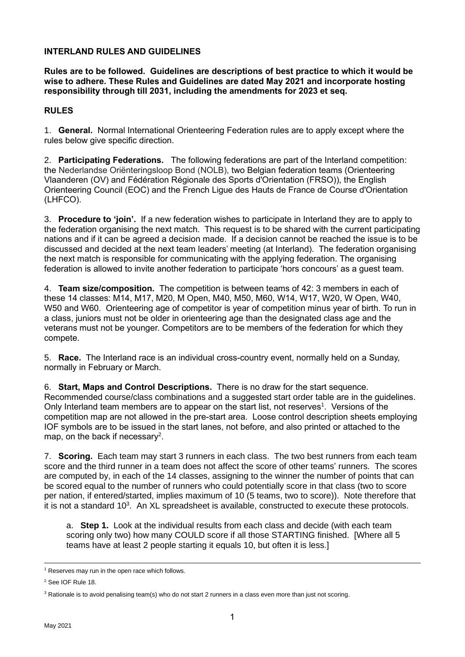## **INTERLAND RULES AND GUIDELINES**

**Rules are to be followed. Guidelines are descriptions of best practice to which it would be wise to adhere. These Rules and Guidelines are dated May 2021 and incorporate hosting responsibility through till 2031, including the amendments for 2023 et seq.**

## **RULES**

1. **General.** Normal International Orienteering Federation rules are to apply except where the rules below give specific direction.

2. **Participating Federations.** The following federations are part of the Interland competition: the Nederlandse Oriënteringsloop Bond (NOLB), two Belgian federation teams (Orienteering Vlaanderen (OV) and Fédération Régionale des Sports d'Orientation (FRSO)), the English Orienteering Council (EOC) and the French Ligue des Hauts de France de Course d'Orientation (LHFCO).

3. **Procedure to 'join'.** If a new federation wishes to participate in Interland they are to apply to the federation organising the next match. This request is to be shared with the current participating nations and if it can be agreed a decision made. If a decision cannot be reached the issue is to be discussed and decided at the next team leaders' meeting (at Interland). The federation organising the next match is responsible for communicating with the applying federation. The organising federation is allowed to invite another federation to participate 'hors concours' as a guest team.

4. **Team size/composition.** The competition is between teams of 42: 3 members in each of these 14 classes: M14, M17, M20, M Open, M40, M50, M60, W14, W17, W20, W Open, W40, W50 and W60. Orienteering age of competitor is year of competition minus year of birth. To run in a class, juniors must not be older in orienteering age than the designated class age and the veterans must not be younger. Competitors are to be members of the federation for which they compete.

5. **Race.** The Interland race is an individual cross-country event, normally held on a Sunday, normally in February or March.

6. **Start, Maps and Control Descriptions.** There is no draw for the start sequence. Recommended course/class combinations and a suggested start order table are in the guidelines. Only Interland team members are to appear on the start list, not reserves<sup>1</sup>. Versions of the competition map are not allowed in the pre-start area. Loose control description sheets employing IOF symbols are to be issued in the start lanes, not before, and also printed or attached to the map, on the back if necessary<sup>2</sup>.

7. **Scoring.** Each team may start 3 runners in each class. The two best runners from each team score and the third runner in a team does not affect the score of other teams' runners. The scores are computed by, in each of the 14 classes, assigning to the winner the number of points that can be scored equal to the number of runners who could potentially score in that class (two to score per nation, if entered/started, implies maximum of 10 (5 teams, two to score)). Note therefore that it is not a standard 10<sup>3</sup>. An XL spreadsheet is available, constructed to execute these protocols.

a. **Step 1.** Look at the individual results from each class and decide (with each team scoring only two) how many COULD score if all those STARTING finished. [Where all 5 teams have at least 2 people starting it equals 10, but often it is less.]

<sup>&</sup>lt;sup>1</sup> Reserves may run in the open race which follows.

<sup>2</sup> See IOF Rule 18.

 $3$  Rationale is to avoid penalising team(s) who do not start 2 runners in a class even more than just not scoring.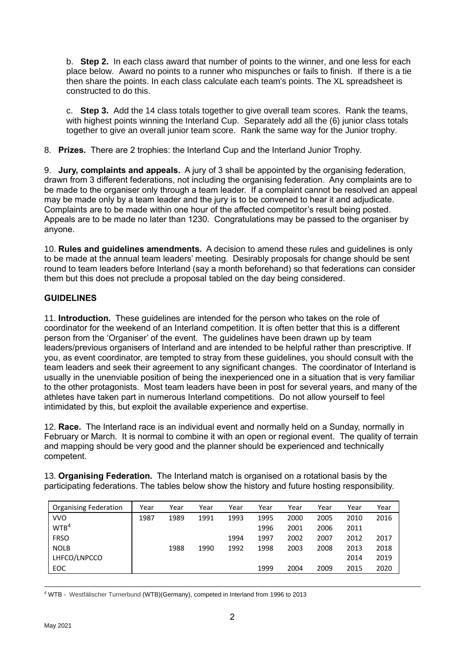b. **Step 2.** In each class award that number of points to the winner, and one less for each place below. Award no points to a runner who mispunches or fails to finish. If there is a tie then share the points. In each class calculate each team's points. The XL spreadsheet is constructed to do this.

c. **Step 3.** Add the 14 class totals together to give overall team scores. Rank the teams, with highest points winning the Interland Cup. Separately add all the (6) junior class totals together to give an overall junior team score. Rank the same way for the Junior trophy.

8. **Prizes.** There are 2 trophies: the Interland Cup and the Interland Junior Trophy.

9. **Jury, complaints and appeals.** A jury of 3 shall be appointed by the organising federation, drawn from 3 different federations, not including the organising federation. Any complaints are to be made to the organiser only through a team leader. If a complaint cannot be resolved an appeal may be made only by a team leader and the jury is to be convened to hear it and adjudicate. Complaints are to be made within one hour of the affected competitor's result being posted. Appeals are to be made no later than 1230. Congratulations may be passed to the organiser by anyone.

10. **Rules and guidelines amendments.** A decision to amend these rules and guidelines is only to be made at the annual team leaders' meeting. Desirably proposals for change should be sent round to team leaders before Interland (say a month beforehand) so that federations can consider them but this does not preclude a proposal tabled on the day being considered.

## **GUIDELINES**

11. **Introduction.** These guidelines are intended for the person who takes on the role of coordinator for the weekend of an Interland competition. It is often better that this is a different person from the 'Organiser' of the event. The guidelines have been drawn up by team leaders/previous organisers of Interland and are intended to be helpful rather than prescriptive. If you, as event coordinator, are tempted to stray from these guidelines, you should consult with the team leaders and seek their agreement to any significant changes. The coordinator of Interland is usually in the unenviable position of being the inexperienced one in a situation that is very familiar to the other protagonists. Most team leaders have been in post for several years, and many of the athletes have taken part in numerous Interland competitions. Do not allow yourself to feel intimidated by this, but exploit the available experience and expertise.

12. **Race.** The Interland race is an individual event and normally held on a Sunday, normally in February or March. It is normal to combine it with an open or regional event. The quality of terrain and mapping should be very good and the planner should be experienced and technically competent.

13. **Organising Federation.** The Interland match is organised on a rotational basis by the participating federations. The tables below show the history and future hosting responsibility.

| <b>Organising Federation</b> | Year | Year | Year | Year | Year | Year | Year | Year | Year |
|------------------------------|------|------|------|------|------|------|------|------|------|
| <b>VVO</b>                   | 1987 | 1989 | 1991 | 1993 | 1995 | 2000 | 2005 | 2010 | 2016 |
| WTB <sup>4</sup>             |      |      |      |      | 1996 | 2001 | 2006 | 2011 |      |
| <b>FRSO</b>                  |      |      |      | 1994 | 1997 | 2002 | 2007 | 2012 | 2017 |
| <b>NOLB</b>                  |      | 1988 | 1990 | 1992 | 1998 | 2003 | 2008 | 2013 | 2018 |
| LHFCO/LNPCCO                 |      |      |      |      |      |      |      | 2014 | 2019 |
| EOC                          |      |      |      |      | 1999 | 2004 | 2009 | 2015 | 2020 |

<sup>4</sup> WTB - Westfälischer Turnerbund (WTB)(Germany), competed in Interland from 1996 to 2013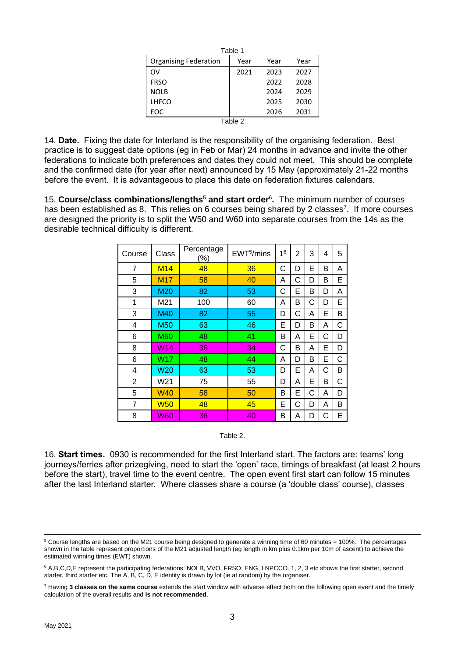|                              | Table 1 |      |      |  |  |  |
|------------------------------|---------|------|------|--|--|--|
| <b>Organising Federation</b> | Year    | Year | Year |  |  |  |
| OV                           | 2021    | 2023 | 2027 |  |  |  |
| <b>FRSO</b>                  |         | 2022 | 2028 |  |  |  |
| <b>NOLB</b>                  |         | 2024 | 2029 |  |  |  |
| <b>LHFCO</b>                 |         | 2025 | 2030 |  |  |  |
| EOC                          |         | 2026 | 2031 |  |  |  |
| —<br>$\sim$                  |         |      |      |  |  |  |

Table 2

14. **Date.** Fixing the date for Interland is the responsibility of the organising federation. Best practice is to suggest date options (eg in Feb or Mar) 24 months in advance and invite the other federations to indicate both preferences and dates they could not meet. This should be complete and the confirmed date (for year after next) announced by 15 May (approximately 21-22 months before the event. It is advantageous to place this date on federation fixtures calendars.

15. **Course/class combinations/lengths**<sup>5</sup> **and start order**<sup>6</sup> **.** The minimum number of courses has been established as 8. This relies on 6 courses being shared by 2 classes<sup>7</sup>. If more courses are designed the priority is to split the W50 and W60 into separate courses from the 14s as the desirable technical difficulty is different.

| Course         | Class           | Percentage<br>$(\% )$ | EWT <sup>5</sup> /mins | 1 <sup>6</sup> | $\overline{2}$ | 3 | 4 | 5 |
|----------------|-----------------|-----------------------|------------------------|----------------|----------------|---|---|---|
| 7              | <b>M14</b>      | 48                    | 36                     | С              | D              | E | B | A |
| 5              | M <sub>17</sub> | 58                    | 40                     | Α              | С              | D | B | Е |
| 3              | M20             | 82                    | 53                     | С              | Е              | в | D | A |
| 1              | M21             | 100                   | 60                     | Α              | Β              | С | D | E |
| 3              | M40             | 82                    | 55                     | D              | С              | A | E | B |
| 4              | <b>M50</b>      | 63                    | 46                     | Е              | D              | В | Α | C |
| 6              | <b>M60</b>      | 48                    | 41                     | B              | Α              | Е | С | D |
| 8              | W14             | 36                    | 34                     | С              | B              | A | E | D |
| 6              | W17             | 48                    | 44                     | Α              | D              | В | E | С |
| 4              | <b>W20</b>      | 63                    | 53                     | D              | E              | A | С | В |
| $\overline{2}$ | W21             | 75                    | 55                     | D              | Α              | E | B | С |
| 5              | <b>W40</b>      | 58                    | 50                     | В              | Е              | C | Α | D |
| $\overline{7}$ | <b>W50</b>      | 48                    | 45                     | Ε              | С              | D | A | B |
| 8              | <b>W60</b>      | 36                    | 40                     | В              | Α              | D | С | E |

Table 2.

16. **Start times.** 0930 is recommended for the first Interland start. The factors are: teams' long journeys/ferries after prizegiving, need to start the 'open' race, timings of breakfast (at least 2 hours before the start), travel time to the event centre. The open event first start can follow 15 minutes after the last Interland starter. Where classes share a course (a 'double class' course), classes

 $5$  Course lengths are based on the M21 course being designed to generate a winning time of 60 minutes = 100%. The percentages shown in the table represent proportions of the M21 adjusted length (eg length in km plus 0.1km per 10m of ascent) to achieve the estimated winning times (EWT) shown.

<sup>&</sup>lt;sup>6</sup> A,B,C,D,E represent the participating federations: NOLB, VVO, FRSO, ENG, LNPCCO. 1, 2, 3 etc shows the first starter, second starter, third starter etc. The A, B, C, D, E identity is drawn by lot (ie at random) by the organiser.

<sup>7</sup> Having **3 classes on the same course** extends the start window with adverse effect both on the following open event and the timely calculation of the overall results and **is not recommended**.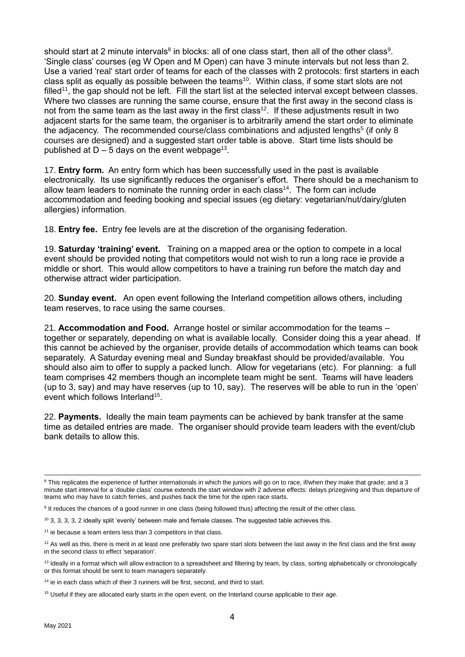should start at 2 minute intervals $^8$  in blocks: all of one class start, then all of the other class $^9$ . 'Single class' courses (eg W Open and M Open) can have 3 minute intervals but not less than 2. Use a varied 'real' start order of teams for each of the classes with 2 protocols: first starters in each class split as equally as possible between the teams $^{10}$ . Within class, if some start slots are not filled<sup>11</sup>, the gap should not be left. Fill the start list at the selected interval except between classes. Where two classes are running the same course, ensure that the first away in the second class is not from the same team as the last away in the first class<sup>12</sup>. If these adjustments result in two adjacent starts for the same team, the organiser is to arbitrarily amend the start order to eliminate the adjacency. The recommended course/class combinations and adjusted lengths<sup>5</sup> (if only 8 courses are designed) and a suggested start order table is above. Start time lists should be published at D – 5 days on the event webpage $^{13}$ .

17. **Entry form.** An entry form which has been successfully used in the past is available electronically. Its use significantly reduces the organiser's effort. There should be a mechanism to allow team leaders to nominate the running order in each class<sup>14</sup>. The form can include accommodation and feeding booking and special issues (eg dietary: vegetarian/nut/dairy/gluten allergies) information.

18. **Entry fee.** Entry fee levels are at the discretion of the organising federation.

19. **Saturday 'training' event.** Training on a mapped area or the option to compete in a local event should be provided noting that competitors would not wish to run a long race ie provide a middle or short. This would allow competitors to have a training run before the match day and otherwise attract wider participation.

20. **Sunday event.** An open event following the Interland competition allows others, including team reserves, to race using the same courses.

21. **Accommodation and Food.** Arrange hostel or similar accommodation for the teams – together or separately, depending on what is available locally. Consider doing this a year ahead. If this cannot be achieved by the organiser, provide details of accommodation which teams can book separately. A Saturday evening meal and Sunday breakfast should be provided/available. You should also aim to offer to supply a packed lunch. Allow for vegetarians (etc). For planning: a full team comprises 42 members though an incomplete team might be sent. Teams will have leaders (up to 3, say) and may have reserves (up to 10, say). The reserves will be able to run in the 'open' event which follows Interland<sup>15</sup>.

22. **Payments.** Ideally the main team payments can be achieved by bank transfer at the same time as detailed entries are made. The organiser should provide team leaders with the event/club bank details to allow this.

<sup>&</sup>lt;sup>8</sup> This replicates the experience of further internationals in which the juniors will go on to race, if/when they make that grade; and a 3 minute start interval for a 'double class' course extends the start window with 2 adverse effects: delays prizegiving and thus departure of teams who may have to catch ferries, and pushes back the time for the open race starts.

<sup>&</sup>lt;sup>9</sup> It reduces the chances of a good runner in one class (being followed thus) affecting the result of the other class.

 $10$  3, 3, 3, 3, 2 ideally split 'evenly' between male and female classes. The suggested table achieves this.

 $11$  ie because a team enters less than 3 competitors in that class.

 $12$  As well as this, there is merit in at least one preferably two spare start slots between the last away in the first class and the first away in the second class to effect 'separation'.

<sup>13</sup> Ideally in a format which will allow extraction to a spreadsheet and filtering by team, by class, sorting alphabetically or chronologically or this format should be sent to team managers separately.

 $14$  ie in each class which of their 3 runners will be first, second, and third to start.

<sup>&</sup>lt;sup>15</sup> Useful if they are allocated early starts in the open event, on the Interland course applicable to their age.